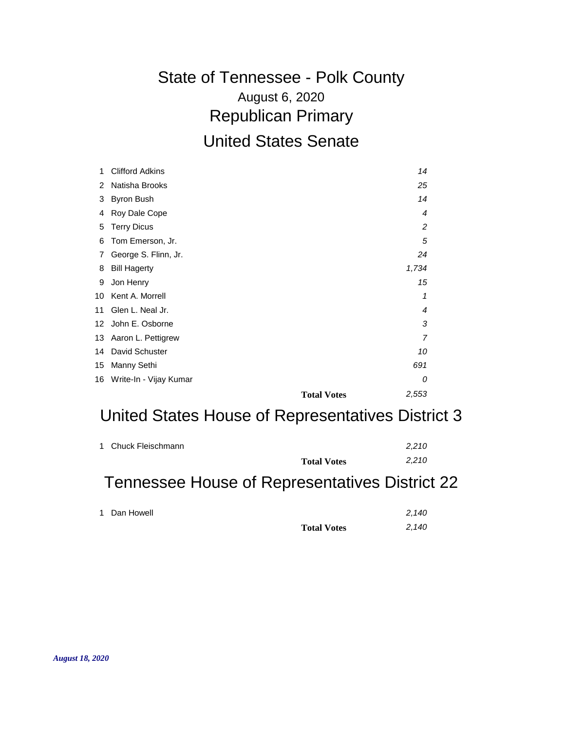## August 6, 2020 State of Tennessee - Polk County Republican Primary United States Senate

| 1  | <b>Clifford Adkins</b>    | 14                          |  |
|----|---------------------------|-----------------------------|--|
| 2  | Natisha Brooks            | 25                          |  |
| 3  | <b>Byron Bush</b>         | 14                          |  |
| 4  | Roy Dale Cope             | 4                           |  |
| 5  | <b>Terry Dicus</b>        | 2                           |  |
| 6  | Tom Emerson, Jr.          | 5                           |  |
| 7  | George S. Flinn, Jr.      | 24                          |  |
| 8  | <b>Bill Hagerty</b>       | 1,734                       |  |
| 9  | Jon Henry                 | 15                          |  |
| 10 | Kent A. Morrell           | 1                           |  |
| 11 | Glen L. Neal Jr.          | 4                           |  |
|    | 12 John E. Osborne        | 3                           |  |
|    | 13 Aaron L. Pettigrew     | 7                           |  |
|    | 14 David Schuster         | 10                          |  |
| 15 | Manny Sethi               | 691                         |  |
|    | 16 Write-In - Vijay Kumar | 0                           |  |
|    |                           | 2,553<br><b>Total Votes</b> |  |

## United States House of Representatives District 3

| 1 Chuck Fleischmann |     |     | <b>Total Votes</b> | 2,210<br>2,210 |
|---------------------|-----|-----|--------------------|----------------|
|                     | . . | - - | .                  | _______        |

#### Tennessee House of Representatives District 22

|                    | 2,140 |
|--------------------|-------|
| <b>Total Votes</b> | 2,140 |

1 Dan Howell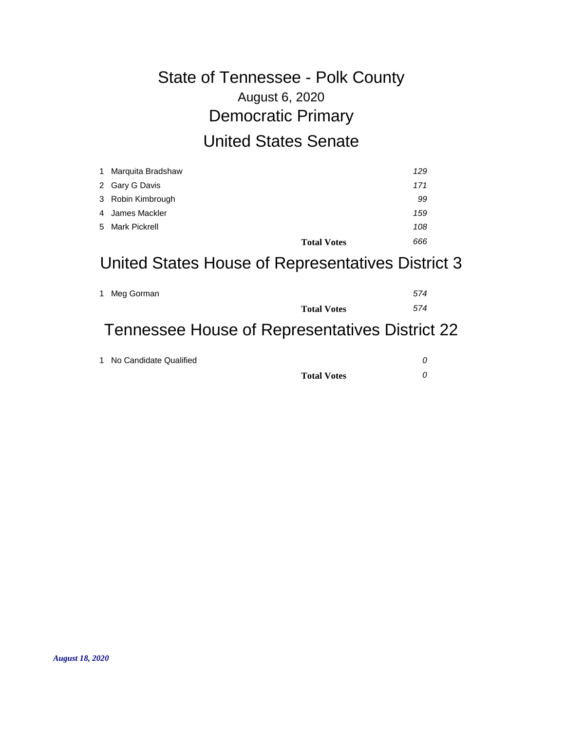# August 6, 2020 State of Tennessee - Polk County Democratic Primary United States Senate

| 1 Marquita Bradshaw |                    | 129 |
|---------------------|--------------------|-----|
| 2 Gary G Davis      |                    | 171 |
| 3 Robin Kimbrough   |                    | 99  |
| 4 James Mackler     |                    | 159 |
| 5 Mark Pickrell     |                    | 108 |
|                     | <b>Total Votes</b> | 666 |

## United States House of Representatives District 3

| 1 Meg Gorman |                    | 574 |
|--------------|--------------------|-----|
|              | <b>Total Votes</b> | 574 |

## Tennessee House of Representatives District 22

| 1 No Candidate Qualified |  |
|--------------------------|--|
| <b>Total Votes</b>       |  |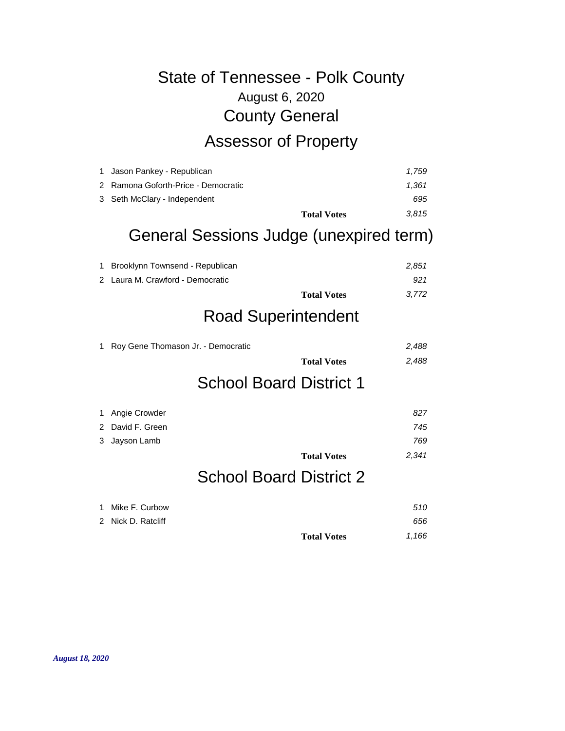# August 6, 2020 State of Tennessee - Polk County County General Assessor of Property

|                                                                                                    | 3.815              |
|----------------------------------------------------------------------------------------------------|--------------------|
|                                                                                                    | 695                |
|                                                                                                    | 1.361              |
|                                                                                                    | 1.759              |
| 1 Jason Pankey - Republican<br>2 Ramona Goforth-Price - Democratic<br>3 Seth McClary - Independent | <b>Total Votes</b> |

#### General Sessions Judge (unexpired term)

| 1 Brooklynn Townsend - Republican |                    | 2.851 |
|-----------------------------------|--------------------|-------|
| 2 Laura M. Crawford - Democratic  |                    | .921  |
|                                   | <b>Total Votes</b> | 3.772 |

## Road Superintendent

| 1 Roy Gene Thomason Jr. - Democratic | 2.488 |
|--------------------------------------|-------|
| <b>Total Votes</b>                   | 2.488 |
| <b>School Board District 1</b>       |       |

| 1 Angie Crowder  |                    | 827   |
|------------------|--------------------|-------|
| 2 David F. Green |                    | 745   |
| 3 Jayson Lamb    |                    | 769   |
|                  | <b>Total Votes</b> | 2,341 |

# School Board District 2

| 1 Mike F. Curbow   |                    | 510   |
|--------------------|--------------------|-------|
| 2 Nick D. Ratcliff |                    | 656   |
|                    | <b>Total Votes</b> | 1.166 |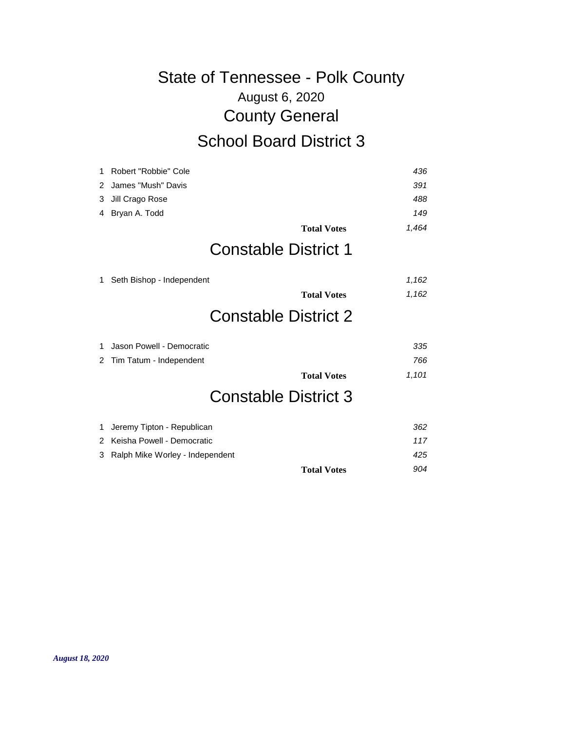# August 6, 2020 State of Tennessee - Polk County County General School Board District 3

| 1 | Robert "Robbie" Cole            | 436   |
|---|---------------------------------|-------|
| 2 | James "Mush" Davis              | 391   |
| 3 | Jill Crago Rose                 | 488   |
| 4 | Bryan A. Todd                   | 149   |
|   | <b>Total Votes</b>              | 1,464 |
|   | <b>Constable District 1</b>     |       |
| 1 | Seth Bishop - Independent       | 1,162 |
|   | <b>Total Votes</b>              | 1,162 |
|   | <b>Constable District 2</b>     |       |
| 1 | Jason Powell - Democratic       | 335   |
| 2 | Tim Tatum - Independent         | 766   |
|   | <b>Total Votes</b>              | 1,101 |
|   | <b>Constable District 3</b>     |       |
| 1 | Jeremy Tipton - Republican      | 362   |
| 2 | Keisha Powell - Democratic      | 117   |
| 3 | Ralph Mike Worley - Independent | 425   |

**Total Votes** *904*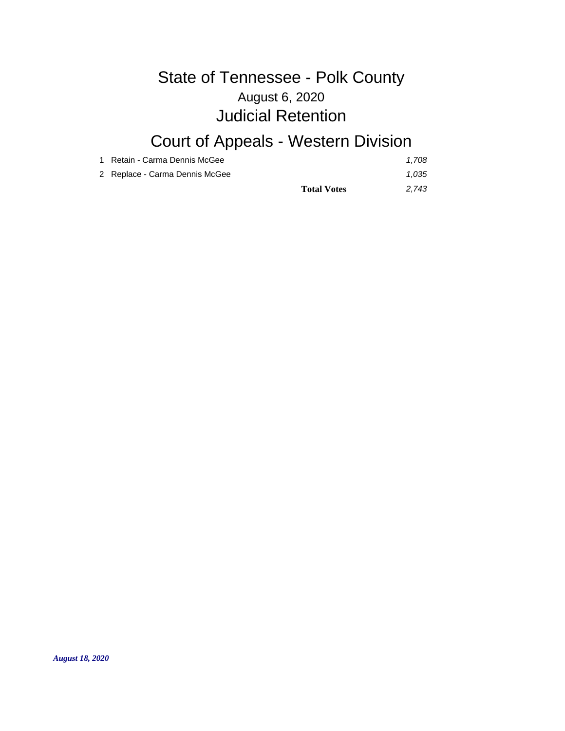#### August 6, 2020 State of Tennessee - Polk County Judicial Retention

# Court of Appeals - Western Division

| 1 Retain - Carma Dennis McGee  |                    | 1.708 |
|--------------------------------|--------------------|-------|
| 2 Replace - Carma Dennis McGee |                    | 1.035 |
|                                | <b>Total Votes</b> | 2.743 |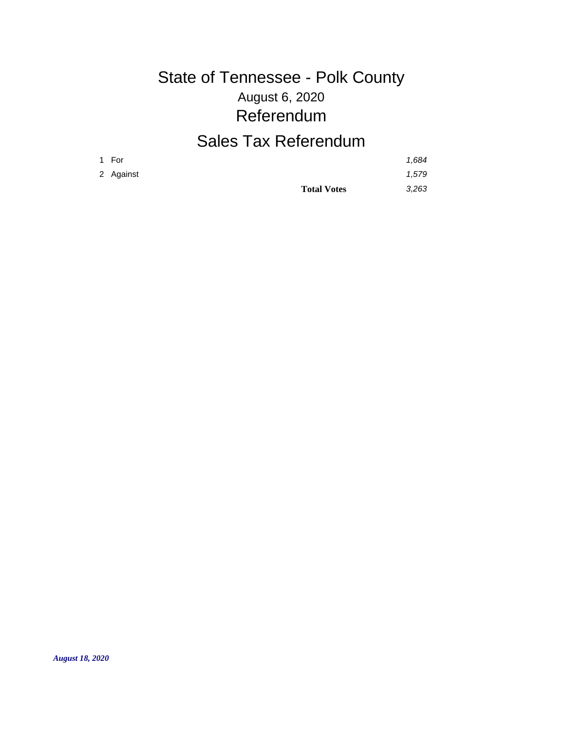# August 6, 2020 State of Tennessee - Polk County Referendum

## Sales Tax Referendum

|           | <b>Total Votes</b> | 3.263 |
|-----------|--------------------|-------|
| 2 Against |                    | 1,579 |
| 1 For     |                    | 1,684 |